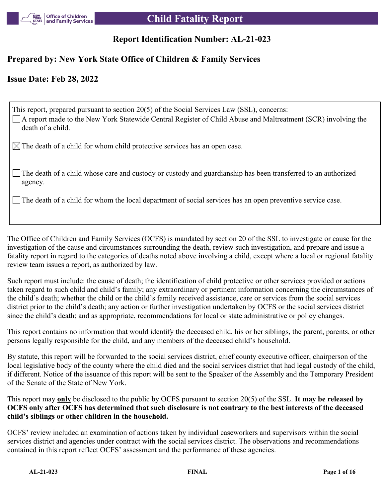

# **Report Identification Number: AL-21-023**

## **Prepared by: New York State Office of Children & Family Services**

## **Issue Date: Feb 28, 2022**

| This report, prepared pursuant to section 20(5) of the Social Services Law (SSL), concerns:<br>□ A report made to the New York Statewide Central Register of Child Abuse and Maltreatment (SCR) involving the<br>death of a child. |
|------------------------------------------------------------------------------------------------------------------------------------------------------------------------------------------------------------------------------------|
| $\boxtimes$ The death of a child for whom child protective services has an open case.                                                                                                                                              |
| The death of a child whose care and custody or custody and guardianship has been transferred to an authorized<br>agency.                                                                                                           |
| The death of a child for whom the local department of social services has an open preventive service case.                                                                                                                         |

The Office of Children and Family Services (OCFS) is mandated by section 20 of the SSL to investigate or cause for the investigation of the cause and circumstances surrounding the death, review such investigation, and prepare and issue a fatality report in regard to the categories of deaths noted above involving a child, except where a local or regional fatality review team issues a report, as authorized by law.

Such report must include: the cause of death; the identification of child protective or other services provided or actions taken regard to such child and child's family; any extraordinary or pertinent information concerning the circumstances of the child's death; whether the child or the child's family received assistance, care or services from the social services district prior to the child's death; any action or further investigation undertaken by OCFS or the social services district since the child's death; and as appropriate, recommendations for local or state administrative or policy changes.

This report contains no information that would identify the deceased child, his or her siblings, the parent, parents, or other persons legally responsible for the child, and any members of the deceased child's household.

By statute, this report will be forwarded to the social services district, chief county executive officer, chairperson of the local legislative body of the county where the child died and the social services district that had legal custody of the child, if different. Notice of the issuance of this report will be sent to the Speaker of the Assembly and the Temporary President of the Senate of the State of New York.

This report may **only** be disclosed to the public by OCFS pursuant to section 20(5) of the SSL. **It may be released by OCFS only after OCFS has determined that such disclosure is not contrary to the best interests of the deceased child's siblings or other children in the household.**

OCFS' review included an examination of actions taken by individual caseworkers and supervisors within the social services district and agencies under contract with the social services district. The observations and recommendations contained in this report reflect OCFS' assessment and the performance of these agencies.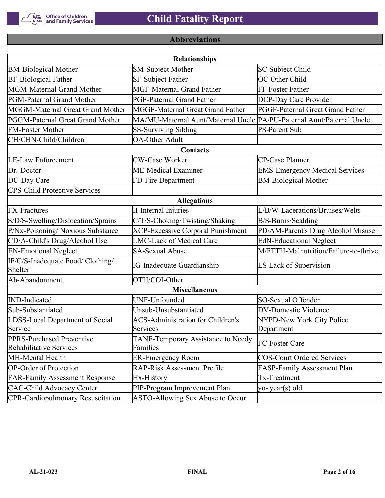

# **Abbreviations**

| <b>Relationships</b>                                 |                                                                       |                                       |  |  |  |  |  |
|------------------------------------------------------|-----------------------------------------------------------------------|---------------------------------------|--|--|--|--|--|
| <b>BM-Biological Mother</b>                          | <b>SM-Subject Mother</b>                                              | SC-Subject Child                      |  |  |  |  |  |
| <b>BF-Biological Father</b>                          | <b>SF-Subject Father</b>                                              | OC-Other Child                        |  |  |  |  |  |
| MGM-Maternal Grand Mother                            | <b>MGF-Maternal Grand Father</b>                                      | FF-Foster Father                      |  |  |  |  |  |
| PGM-Paternal Grand Mother                            | <b>PGF-Paternal Grand Father</b>                                      | DCP-Day Care Provider                 |  |  |  |  |  |
| MGGM-Maternal Great Grand Mother                     | MGGF-Maternal Great Grand Father                                      | PGGF-Paternal Great Grand Father      |  |  |  |  |  |
| PGGM-Paternal Great Grand Mother                     | MA/MU-Maternal Aunt/Maternal Uncle PA/PU-Paternal Aunt/Paternal Uncle |                                       |  |  |  |  |  |
| <b>FM-Foster Mother</b>                              | <b>SS-Surviving Sibling</b>                                           | <b>PS-Parent Sub</b>                  |  |  |  |  |  |
| CH/CHN-Child/Children                                | <b>OA-Other Adult</b>                                                 |                                       |  |  |  |  |  |
|                                                      | Contacts                                                              |                                       |  |  |  |  |  |
| <b>LE-Law Enforcement</b>                            | <b>CW-Case Worker</b>                                                 | CP-Case Planner                       |  |  |  |  |  |
| Dr.-Doctor                                           | ME-Medical Examiner                                                   | <b>EMS-Emergency Medical Services</b> |  |  |  |  |  |
| DC-Day Care                                          | FD-Fire Department                                                    | <b>BM-Biological Mother</b>           |  |  |  |  |  |
| <b>CPS-Child Protective Services</b>                 |                                                                       |                                       |  |  |  |  |  |
| <b>Allegations</b>                                   |                                                                       |                                       |  |  |  |  |  |
| <b>FX-Fractures</b>                                  | <b>II-Internal Injuries</b>                                           | L/B/W-Lacerations/Bruises/Welts       |  |  |  |  |  |
| S/D/S-Swelling/Dislocation/Sprains                   | C/T/S-Choking/Twisting/Shaking                                        | B/S-Burns/Scalding                    |  |  |  |  |  |
| P/Nx-Poisoning/ Noxious Substance                    | <b>XCP-Excessive Corporal Punishment</b>                              | PD/AM-Parent's Drug Alcohol Misuse    |  |  |  |  |  |
| CD/A-Child's Drug/Alcohol Use                        | <b>LMC-Lack of Medical Care</b>                                       | <b>EdN-Educational Neglect</b>        |  |  |  |  |  |
| <b>EN-Emotional Neglect</b>                          | <b>SA-Sexual Abuse</b>                                                | M/FTTH-Malnutrition/Failure-to-thrive |  |  |  |  |  |
| IF/C/S-Inadequate Food/ Clothing/<br>Shelter         | <b>IG-Inadequate Guardianship</b>                                     | LS-Lack of Supervision                |  |  |  |  |  |
| Ab-Abandonment                                       | OTH/COI-Other                                                         |                                       |  |  |  |  |  |
|                                                      | <b>Miscellaneous</b>                                                  |                                       |  |  |  |  |  |
| <b>IND-Indicated</b>                                 | UNF-Unfounded                                                         | SO-Sexual Offender                    |  |  |  |  |  |
| Sub-Substantiated                                    | Unsub-Unsubstantiated                                                 | <b>DV-Domestic Violence</b>           |  |  |  |  |  |
| LDSS-Local Department of Social                      | <b>ACS-Administration for Children's</b>                              | NYPD-New York City Police             |  |  |  |  |  |
| Service                                              | Services                                                              | Department                            |  |  |  |  |  |
| PPRS-Purchased Preventive<br>Rehabilitative Services | TANF-Temporary Assistance to Needy<br>Families                        | FC-Foster Care                        |  |  |  |  |  |
| MH-Mental Health                                     | <b>ER-Emergency Room</b>                                              | <b>COS-Court Ordered Services</b>     |  |  |  |  |  |
| <b>OP-Order of Protection</b>                        | <b>RAP-Risk Assessment Profile</b>                                    | FASP-Family Assessment Plan           |  |  |  |  |  |
| <b>FAR-Family Assessment Response</b>                | Hx-History                                                            | Tx-Treatment                          |  |  |  |  |  |
| <b>CAC-Child Advocacy Center</b>                     | PIP-Program Improvement Plan                                          | yo-year(s) old                        |  |  |  |  |  |
| <b>CPR-Cardiopulmonary Resuscitation</b>             | ASTO-Allowing Sex Abuse to Occur                                      |                                       |  |  |  |  |  |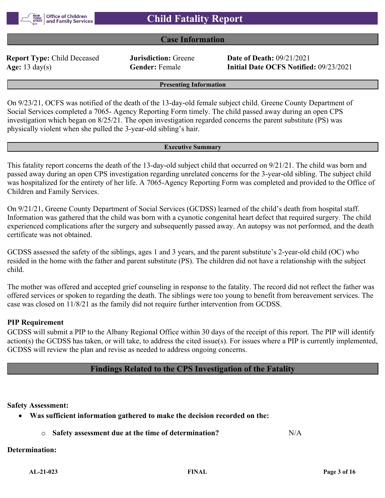

## **Case Information**

**Report Type:** Child Deceased **Jurisdiction:** Greene **Date of Death:** 09/21/2021

**Age:** 13 day(s) **Gender:** Female **Initial Date OCFS Notified:** 09/23/2021

**Presenting Information**

On 9/23/21, OCFS was notified of the death of the 13-day-old female subject child. Greene County Department of Social Services completed a 7065- Agency Reporting Form timely. The child passed away during an open CPS investigation which began on 8/25/21. The open investigation regarded concerns the parent substitute (PS) was physically violent when she pulled the 3-year-old sibling's hair.

#### **Executive Summary**

This fatality report concerns the death of the 13-day-old subject child that occurred on 9/21/21. The child was born and passed away during an open CPS investigation regarding unrelated concerns for the 3-year-old sibling. The subject child was hospitalized for the entirety of her life. A 7065-Agency Reporting Form was completed and provided to the Office of Children and Family Services.

On 9/21/21, Greene County Department of Social Services (GCDSS) learned of the child's death from hospital staff. Information was gathered that the child was born with a cyanotic congenital heart defect that required surgery. The child experienced complications after the surgery and subsequently passed away. An autopsy was not performed, and the death certificate was not obtained.

GCDSS assessed the safety of the siblings, ages 1 and 3 years, and the parent substitute's 2-year-old child (OC) who resided in the home with the father and parent substitute (PS). The children did not have a relationship with the subject child.

The mother was offered and accepted grief counseling in response to the fatality. The record did not reflect the father was offered services or spoken to regarding the death. The siblings were too young to benefit from bereavement services. The case was closed on 11/8/21 as the family did not require further intervention from GCDSS.

#### **PIP Requirement**

GCDSS will submit a PIP to the Albany Regional Office within 30 days of the receipt of this report. The PIP will identify action(s) the GCDSS has taken, or will take, to address the cited issue(s). For issues where a PIP is currently implemented, GCDSS will review the plan and revise as needed to address ongoing concerns.

#### **Findings Related to the CPS Investigation of the Fatality**

**Safety Assessment:**

- **Was sufficient information gathered to make the decision recorded on the:**
	- o **Safety assessment due at the time of determination?** N/A

#### **Determination:**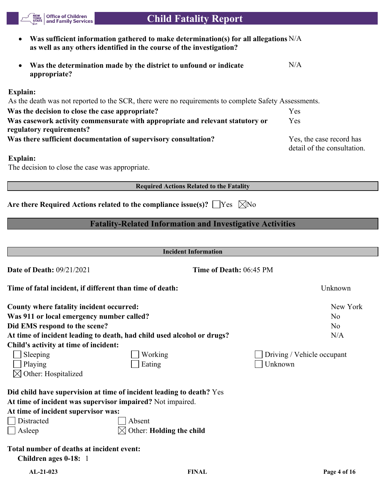**Was sufficient information gathered to make determination(s) for all allegations**  N/A **as well as any others identified in the course of the investigation? Was the determination made by the district to unfound or indicate appropriate?** N/A **Explain:** As the death was not reported to the SCR, there were no requirements to complete Safety Assessments. **Was the decision to close the case appropriate?** Yes **Was casework activity commensurate with appropriate and relevant statutory or regulatory requirements?** Yes Was there sufficient documentation of supervisory consultation? Yes, the case record has detail of the consultation. **Explain:** The decision to close the case was appropriate. **Required Actions Related to the Fatality** Are there Required Actions related to the compliance issue(s)?  $\Box$  Yes  $\Box$  No **Fatality-Related Information and Investigative Activities Incident Information Date of Death:** 09/21/2021 **Time of Death:** 06:45 PM **Time of fatal incident, if different than time of death:** Unknown **County where fatality incident occurred:** New York **Was 911 or local emergency number called?** No **No Did EMS respond to the scene?** No At time of incident leading to death, had child used alcohol or drugs? N/A **Child's activity at time of incident:** Sleeping Working Driving / Vehicle occupant ■ Playing The Eating The Eating The Unknown  $\boxtimes$  Other: Hospitalized **Did child have supervision at time of incident leading to death?** Yes **At time of incident was supervisor impaired?** Not impaired. **At time of incident supervisor was:** Distracted Absent  $\Box$  Asleep  $\Box$  Other: **Holding the child Total number of deaths at incident event: Children ages 0-18:** 1

 **Child Fatality Report**

**Office of Children** and Family Services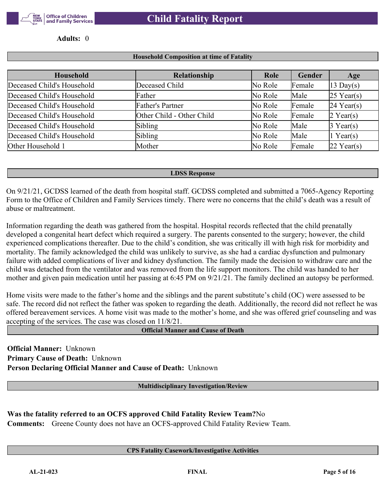

**Adults:** 0

#### **Household Composition at time of Fatality**

| Household                  | Relationship              | Role    | Gender | Age                   |
|----------------------------|---------------------------|---------|--------|-----------------------|
| Deceased Child's Household | Deceased Child            | No Role | Female | $ 13 \text{ Day}(s) $ |
| Deceased Child's Household | Father                    | No Role | Male   | $25$ Year(s)          |
| Deceased Child's Household | Father's Partner          | No Role | Female | $24$ Year(s)          |
| Deceased Child's Household | Other Child - Other Child | No Role | Female | $2$ Year(s)           |
| Deceased Child's Household | Sibling                   | No Role | Male   | $3$ Year(s)           |
| Deceased Child's Household | Sibling                   | No Role | Male   | 1 Year(s)             |
| Other Household 1          | Mother                    | No Role | Female | $22$ Year(s)          |

#### **LDSS Response**

On 9/21/21, GCDSS learned of the death from hospital staff. GCDSS completed and submitted a 7065-Agency Reporting Form to the Office of Children and Family Services timely. There were no concerns that the child's death was a result of abuse or maltreatment.

Information regarding the death was gathered from the hospital. Hospital records reflected that the child prenatally developed a congenital heart defect which required a surgery. The parents consented to the surgery; however, the child experienced complications thereafter. Due to the child's condition, she was critically ill with high risk for morbidity and mortality. The family acknowledged the child was unlikely to survive, as she had a cardiac dysfunction and pulmonary failure with added complications of liver and kidney dysfunction. The family made the decision to withdraw care and the child was detached from the ventilator and was removed from the life support monitors. The child was handed to her mother and given pain medication until her passing at 6:45 PM on 9/21/21. The family declined an autopsy be performed.

Home visits were made to the father's home and the siblings and the parent substitute's child (OC) were assessed to be safe. The record did not reflect the father was spoken to regarding the death. Additionally, the record did not reflect he was offered bereavement services. A home visit was made to the mother's home, and she was offered grief counseling and was accepting of the services. The case was closed on 11/8/21.

**Official Manner and Cause of Death**

**Official Manner:** Unknown **Primary Cause of Death:** Unknown **Person Declaring Official Manner and Cause of Death:** Unknown

**Multidisciplinary Investigation/Review**

**Was the fatality referred to an OCFS approved Child Fatality Review Team?**No **Comments:** Greene County does not have an OCFS-approved Child Fatality Review Team.

#### **CPS Fatality Casework/Investigative Activities**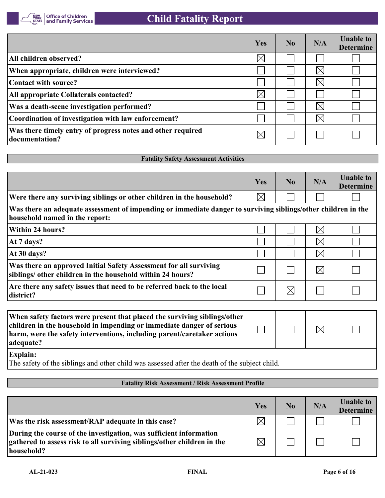

|                                                                               | Yes      | No. | N/A         | <b>Unable to</b><br><b>Determine</b> |
|-------------------------------------------------------------------------------|----------|-----|-------------|--------------------------------------|
| All children observed?                                                        | $\times$ |     |             |                                      |
| When appropriate, children were interviewed?                                  |          |     | $\times$    |                                      |
| Contact with source?                                                          |          |     | $\times$    |                                      |
| All appropriate Collaterals contacted?                                        | $\times$ |     |             |                                      |
| Was a death-scene investigation performed?                                    |          |     | $\boxtimes$ |                                      |
| Coordination of investigation with law enforcement?                           |          |     | $\boxtimes$ |                                      |
| Was there timely entry of progress notes and other required<br>documentation? |          |     |             |                                      |

#### **Fatality Safety Assessment Activities**

|                                                                                                                                                 | Yes         | N <sub>0</sub> | N/A         | <b>Unable to</b><br><b>Determine</b> |
|-------------------------------------------------------------------------------------------------------------------------------------------------|-------------|----------------|-------------|--------------------------------------|
| Were there any surviving siblings or other children in the household?                                                                           | $\boxtimes$ |                |             |                                      |
| Was there an adequate assessment of impending or immediate danger to surviving siblings/other children in the<br>household named in the report: |             |                |             |                                      |
| Within 24 hours?                                                                                                                                |             |                | $\times$    |                                      |
| At 7 days?                                                                                                                                      |             |                | $\boxtimes$ |                                      |
| At 30 days?                                                                                                                                     |             |                | $\times$    |                                      |
| Was there an approved Initial Safety Assessment for all surviving<br>siblings/ other children in the household within 24 hours?                 |             |                | $\times$    |                                      |
| Are there any safety issues that need to be referred back to the local<br>district?                                                             |             | $\boxtimes$    |             |                                      |
|                                                                                                                                                 |             |                |             |                                      |

| When safety factors were present that placed the surviving siblings/other<br>children in the household in impending or immediate danger of serious<br>harm, were the safety interventions, including parent/caretaker actions<br>adequate? |  | $\boxtimes$ |  |
|--------------------------------------------------------------------------------------------------------------------------------------------------------------------------------------------------------------------------------------------|--|-------------|--|
| $\Gamma$ vnlain:                                                                                                                                                                                                                           |  |             |  |

**Explain:**

The safety of the siblings and other child was assessed after the death of the subject child.

## **Fatality Risk Assessment / Risk Assessment Profile**

|                                                                                                                                                             | Yes         | No | N/A | <b>Unable to</b><br><b>Determine</b> |
|-------------------------------------------------------------------------------------------------------------------------------------------------------------|-------------|----|-----|--------------------------------------|
| Was the risk assessment/RAP adequate in this case?                                                                                                          | $\times$    |    |     |                                      |
| During the course of the investigation, was sufficient information<br>gathered to assess risk to all surviving siblings/other children in the<br>household? | $\boxtimes$ |    |     |                                      |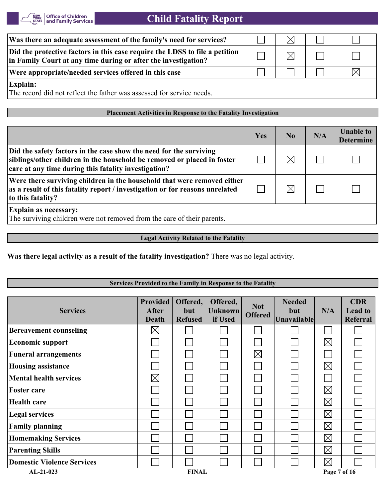

| Was there an adequate assessment of the family's need for services?                                                                           |  |  |
|-----------------------------------------------------------------------------------------------------------------------------------------------|--|--|
| Did the protective factors in this case require the LDSS to file a petition<br>in Family Court at any time during or after the investigation? |  |  |
| Were appropriate/needed services offered in this case                                                                                         |  |  |
| Explain:                                                                                                                                      |  |  |

The record did not reflect the father was assessed for service needs.

#### **Placement Activities in Response to the Fatality Investigation**

|                                                                                                                                                                                                       | Yes | N <sub>0</sub> | N/A | <b>Unable to</b><br><b>Determine</b> |
|-------------------------------------------------------------------------------------------------------------------------------------------------------------------------------------------------------|-----|----------------|-----|--------------------------------------|
| Did the safety factors in the case show the need for the surviving<br>siblings/other children in the household be removed or placed in foster<br>care at any time during this fatality investigation? |     |                |     |                                      |
| Were there surviving children in the household that were removed either<br>as a result of this fatality report / investigation or for reasons unrelated<br>to this fatality?                          |     |                |     |                                      |
| <b>Explain as necessary:</b><br>The surviving children were not removed from the care of their parents.                                                                                               |     |                |     |                                      |

#### **Legal Activity Related to the Fatality**

**Was there legal activity as a result of the fatality investigation?** There was no legal activity.

#### **Services Provided to the Family in Response to the Fatality**

| <b>Services</b>                   | <b>Provided</b><br>After<br><b>Death</b> | Offered,<br>but<br><b>Refused</b> | Offered,<br><b>Unknown</b><br>if Used | <b>Not</b><br><b>Offered</b> | <b>Needed</b><br>but<br><b>Unavailable</b> | N/A          | <b>CDR</b><br><b>Lead to</b><br>Referral |
|-----------------------------------|------------------------------------------|-----------------------------------|---------------------------------------|------------------------------|--------------------------------------------|--------------|------------------------------------------|
| <b>Bereavement counseling</b>     | $\times$                                 |                                   |                                       |                              |                                            |              |                                          |
| <b>Economic support</b>           |                                          |                                   |                                       |                              |                                            | $\boxtimes$  |                                          |
| <b>Funeral arrangements</b>       |                                          |                                   |                                       | $\boxtimes$                  |                                            |              |                                          |
| <b>Housing assistance</b>         |                                          |                                   |                                       |                              |                                            | $\boxtimes$  |                                          |
| <b>Mental health services</b>     | $\boxtimes$                              |                                   |                                       |                              |                                            |              |                                          |
| <b>Foster care</b>                |                                          |                                   |                                       |                              |                                            | $\boxtimes$  |                                          |
| <b>Health care</b>                |                                          |                                   |                                       |                              |                                            | $\boxtimes$  |                                          |
| <b>Legal services</b>             |                                          |                                   |                                       |                              |                                            | $\boxtimes$  |                                          |
| <b>Family planning</b>            |                                          |                                   |                                       |                              |                                            | $\boxtimes$  |                                          |
| <b>Homemaking Services</b>        |                                          |                                   |                                       |                              |                                            | $\boxtimes$  |                                          |
| <b>Parenting Skills</b>           |                                          |                                   |                                       |                              |                                            | $\boxtimes$  |                                          |
| <b>Domestic Violence Services</b> |                                          |                                   |                                       |                              |                                            | $\boxtimes$  |                                          |
| $AL-21-023$                       |                                          | <b>FINAL</b>                      |                                       |                              |                                            | Page 7 of 16 |                                          |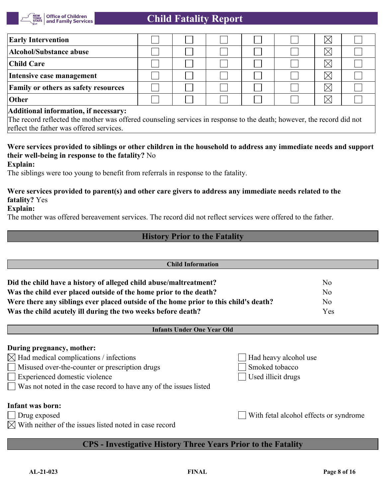

| <b>Early Intervention</b>                                                                                             |  |  |  |  |  | $\boxtimes$ |  |  |
|-----------------------------------------------------------------------------------------------------------------------|--|--|--|--|--|-------------|--|--|
| Alcohol/Substance abuse                                                                                               |  |  |  |  |  | $\boxtimes$ |  |  |
| <b>Child Care</b>                                                                                                     |  |  |  |  |  | $\boxtimes$ |  |  |
| Intensive case management                                                                                             |  |  |  |  |  |             |  |  |
| <b>Family or others as safety resources</b>                                                                           |  |  |  |  |  | $\boxtimes$ |  |  |
| <b>Other</b>                                                                                                          |  |  |  |  |  |             |  |  |
| Additional information, if necessary:                                                                                 |  |  |  |  |  |             |  |  |
| The record reflected the mother was offered counseling services in response to the death; however, the record did not |  |  |  |  |  |             |  |  |

reflect the father was offered services.

## **Were services provided to siblings or other children in the household to address any immediate needs and support their well-being in response to the fatality?** No

**Explain:**

The siblings were too young to benefit from referrals in response to the fatality.

# **Were services provided to parent(s) and other care givers to address any immediate needs related to the fatality?** Yes

#### **Explain:**

The mother was offered bereavement services. The record did not reflect services were offered to the father.

## **History Prior to the Fatality**

| <b>Child Information</b>                                                                                                                                                                                                                   |                                                               |                |  |  |  |
|--------------------------------------------------------------------------------------------------------------------------------------------------------------------------------------------------------------------------------------------|---------------------------------------------------------------|----------------|--|--|--|
| Did the child have a history of alleged child abuse/maltreatment?                                                                                                                                                                          |                                                               | N <sub>o</sub> |  |  |  |
| Was the child ever placed outside of the home prior to the death?                                                                                                                                                                          |                                                               | N <sub>o</sub> |  |  |  |
| Were there any siblings ever placed outside of the home prior to this child's death?                                                                                                                                                       | N <sub>o</sub>                                                |                |  |  |  |
| Was the child acutely ill during the two weeks before death?                                                                                                                                                                               | Yes                                                           |                |  |  |  |
| <b>Infants Under One Year Old</b>                                                                                                                                                                                                          |                                                               |                |  |  |  |
| During pregnancy, mother:<br>Had medical complications / infections<br>$\boxtimes$<br>Misused over-the-counter or prescription drugs<br>Experienced domestic violence<br>Was not noted in the case record to have any of the issues listed | Had heavy alcohol use<br>Smoked tobacco<br>Used illicit drugs |                |  |  |  |
| <b>Infant was born:</b><br>With fetal alcohol effects or syndrome<br>Drug exposed<br>With neither of the issues listed noted in case record                                                                                                |                                                               |                |  |  |  |
| <b>CPS</b> - Investigative History Three Years Prior to the Fatality                                                                                                                                                                       |                                                               |                |  |  |  |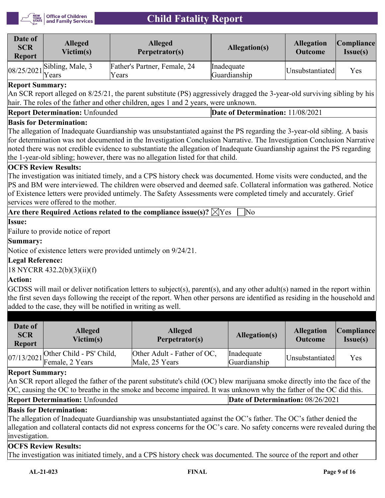

| Date of<br><b>SCR</b><br><b>Report</b> | <b>Alleged</b><br>Victim(s)                       | <b>Alleged</b><br>Perpetrator(s)      | Allegation(s)              | <b>Allegation</b><br><b>Outcome</b>  | Compliance <br>Issue(s) |
|----------------------------------------|---------------------------------------------------|---------------------------------------|----------------------------|--------------------------------------|-------------------------|
|                                        | $08/25/2021$ <sup>Sibling, Male, 3</sup><br>Years | Father's Partner, Female, 24<br>Years | Inadequate<br>Guardianship | <i><u><b>Unsubstantiated</b></u></i> | Yes                     |

## **Report Summary:**

An SCR report alleged on 8/25/21, the parent substitute (PS) aggressively dragged the 3-year-old surviving sibling by his hair. The roles of the father and other children, ages 1 and 2 years, were unknown.

| <b>Report Determination: Unfounded</b> | Date of Determination: 11/08/2021 |
|----------------------------------------|-----------------------------------|
|----------------------------------------|-----------------------------------|

#### **Basis for Determination:**

The allegation of Inadequate Guardianship was unsubstantiated against the PS regarding the 3-year-old sibling. A basis for determination was not documented in the Investigation Conclusion Narrative. The Investigation Conclusion Narrative noted there was not credible evidence to substantiate the allegation of Inadequate Guardianship against the PS regarding the 1-year-old sibling; however, there was no allegation listed for that child.

## **OCFS Review Results:**

The investigation was initiated timely, and a CPS history check was documented. Home visits were conducted, and the PS and BM were interviewed. The children were observed and deemed safe. Collateral information was gathered. Notice of Existence letters were provided untimely. The Safety Assessments were completed timely and accurately. Grief services were offered to the mother.

**Are there Required Actions related to the compliance issue(s)?**  $\boxtimes$  **Yes**  $\Box$  **No** 

**Issue:**

Failure to provide notice of report

#### **Summary:**

Notice of existence letters were provided untimely on 9/24/21.

## **Legal Reference:**

18 NYCRR 432.2(b)(3)(ii)(f)

## **Action:**

GCDSS will mail or deliver notification letters to subject(s), parent(s), and any other adult(s) named in the report within the first seven days following the receipt of the report. When other persons are identified as residing in the household and added to the case, they will be notified in writing as well.

| Date of<br><b>SCR</b><br><b>Report</b> | <b>Alleged</b><br>Victim(s)                            | <b>Alleged</b><br>Perpetrator(s)              | Allegation(s)              | <b>Allegation</b><br><b>Outcome</b> | <b>Compliance</b><br>Issue(s) |
|----------------------------------------|--------------------------------------------------------|-----------------------------------------------|----------------------------|-------------------------------------|-------------------------------|
|                                        | 07/13/2021 Other Child - PS' Child,<br>Female, 2 Years | Other Adult - Father of OC,<br>Male, 25 Years | Inadequate<br>Guardianship | Unsubstantiated                     | Yes                           |

#### **Report Summary:**

An SCR report alleged the father of the parent substitute's child (OC) blew marijuana smoke directly into the face of the OC, causing the OC to breathe in the smoke and become impaired. It was unknown why the father of the OC did this.

| <b>Report Determination: Unfounded</b> | Date of Determination: 08/26/2021 |
|----------------------------------------|-----------------------------------|
|----------------------------------------|-----------------------------------|

## **Basis for Determination:**

The allegation of Inadequate Guardianship was unsubstantiated against the OC's father. The OC's father denied the allegation and collateral contacts did not express concerns for the OC's care. No safety concerns were revealed during the investigation.

#### **OCFS Review Results:**

The investigation was initiated timely, and a CPS history check was documented. The source of the report and other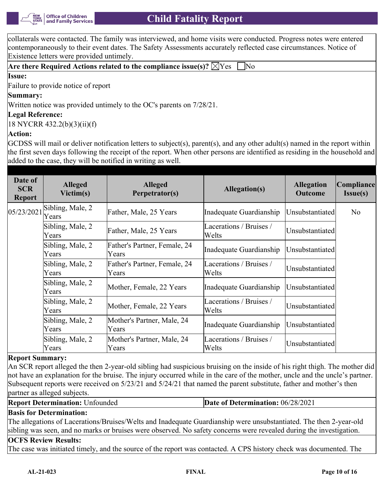collaterals were contacted. The family was interviewed, and home visits were conducted. Progress notes were entered contemporaneously to their event dates. The Safety Assessments accurately reflected case circumstances. Notice of Existence letters were provided untimely.

|--|--|--|--|--|

## **Issue:**

Failure to provide notice of report

#### **Summary:**

Written notice was provided untimely to the OC's parents on 7/28/21.

#### **Legal Reference:**

18 NYCRR 432.2(b)(3)(ii)(f)

#### **Action:**

GCDSS will mail or deliver notification letters to subject(s), parent(s), and any other adult(s) named in the report within the first seven days following the receipt of the report. When other persons are identified as residing in the household and added to the case, they will be notified in writing as well.

| Date of<br><b>SCR</b><br><b>Report</b> | <b>Alleged</b><br>Victim(s) | <b>Alleged</b><br>Perpetrator(s)      | Allegation(s)                     | <b>Allegation</b><br><b>Outcome</b> | Compliance<br>$Issue(s)$ |
|----------------------------------------|-----------------------------|---------------------------------------|-----------------------------------|-------------------------------------|--------------------------|
| 05/23/2021                             | Sibling, Male, 2<br>Years   | Father, Male, 25 Years                | Inadequate Guardianship           | Unsubstantiated                     | No                       |
|                                        | Sibling, Male, 2<br>Years   | Father, Male, 25 Years                | Lacerations / Bruises /<br>Welts  | Unsubstantiated                     |                          |
|                                        | Sibling, Male, 2<br>Years   | Father's Partner, Female, 24<br>Years | Inadequate Guardianship           | Unsubstantiated                     |                          |
|                                        | Sibling, Male, 2<br>Years   | Father's Partner, Female, 24<br>Years | Lacerations / Bruises /<br>Welts  | Unsubstantiated                     |                          |
|                                        | Sibling, Male, 2<br>Years   | Mother, Female, 22 Years              | Inadequate Guardianship           | Unsubstantiated                     |                          |
|                                        | Sibling, Male, 2<br>Years   | Mother, Female, 22 Years              | Lacerations / Bruises /<br>Welts  | Unsubstantiated                     |                          |
|                                        | Sibling, Male, 2<br>Years   | Mother's Partner, Male, 24<br>Years   | Inadequate Guardianship           | Unsubstantiated                     |                          |
|                                        | Sibling, Male, 2<br>Years   | Mother's Partner, Male, 24<br>Years   | Lacerations / Bruises /<br> Welts | Unsubstantiated                     |                          |

#### **Report Summary:**

An SCR report alleged the then 2-year-old sibling had suspicious bruising on the inside of his right thigh. The mother did not have an explanation for the bruise. The injury occurred while in the care of the mother, uncle and the uncle's partner. Subsequent reports were received on 5/23/21 and 5/24/21 that named the parent substitute, father and mother's then partner as alleged subjects.

| <b>Report Determination: Unfounded</b> | <b>Date of Determination: 06/28/2021</b> |
|----------------------------------------|------------------------------------------|
|----------------------------------------|------------------------------------------|

#### **Basis for Determination:**

The allegations of Lacerations/Bruises/Welts and Inadequate Guardianship were unsubstantiated. The then 2-year-old sibling was seen, and no marks or bruises were observed. No safety concerns were revealed during the investigation.

#### **OCFS Review Results:**

The case was initiated timely, and the source of the report was contacted. A CPS history check was documented. The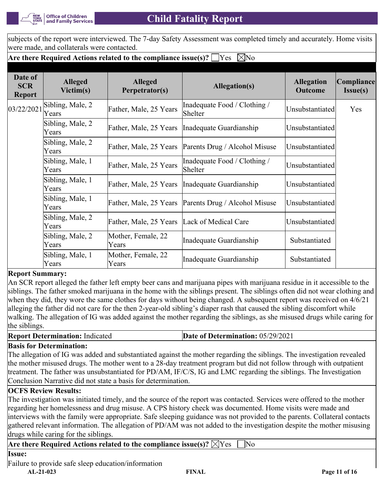

subjects of the report were interviewed. The 7-day Safety Assessment was completed timely and accurately. Home visits were made, and collaterals were contacted.

## **Are there Required Actions related to the compliance issue(s)?**  $\Box$  Yes  $\Box$  No

| Date of<br><b>SCR</b><br><b>Report</b> | <b>Alleged</b><br>Victim(s) | <b>Alleged</b><br>Perpetrator(s) | Allegation(s)                                        | <b>Allegation</b><br><b>Outcome</b> | Compliance<br>Issue(s) |
|----------------------------------------|-----------------------------|----------------------------------|------------------------------------------------------|-------------------------------------|------------------------|
| 03/22/2021                             | Sibling, Male, 2<br>Years   | Father, Male, 25 Years           | Inadequate Food / Clothing /<br>Shelter              | Unsubstantiated                     | Yes                    |
|                                        | Sibling, Male, 2<br>Years   | Father, Male, 25 Years           | Inadequate Guardianship                              | Unsubstantiated                     |                        |
|                                        | Sibling, Male, 2<br>Years   | Father, Male, 25 Years           | Parents Drug / Alcohol Misuse                        | Unsubstantiated                     |                        |
|                                        | Sibling, Male, 1<br>Years   | Father, Male, 25 Years           | Inadequate Food / Clothing /<br>Shelter              | Unsubstantiated                     |                        |
|                                        | Sibling, Male, 1<br>Years   | Father, Male, 25 Years           | Inadequate Guardianship                              | Unsubstantiated                     |                        |
|                                        | Sibling, Male, 1<br>Years   |                                  | Father, Male, 25 Years Parents Drug / Alcohol Misuse | Unsubstantiated                     |                        |
|                                        | Sibling, Male, 2<br>Years   | Father, Male, 25 Years           | Lack of Medical Care                                 | Unsubstantiated                     |                        |
|                                        | Sibling, Male, 2<br>Years   | Mother, Female, 22<br>Years      | Inadequate Guardianship                              | Substantiated                       |                        |
|                                        | Sibling, Male, 1<br>Years   | Mother, Female, 22<br>Years      | Inadequate Guardianship                              | Substantiated                       |                        |

## **Report Summary:**

An SCR report alleged the father left empty beer cans and marijuana pipes with marijuana residue in it accessible to the siblings. The father smoked marijuana in the home with the siblings present. The siblings often did not wear clothing and when they did, they wore the same clothes for days without being changed. A subsequent report was received on  $4/6/21$ alleging the father did not care for the then 2-year-old sibling's diaper rash that caused the sibling discomfort while walking. The allegation of IG was added against the mother regarding the siblings, as she misused drugs while caring for the siblings.

#### **Report Determination:** Indicated **Date of Determination:** 05/29/2021

## **Basis for Determination:**

The allegation of IG was added and substantiated against the mother regarding the siblings. The investigation revealed the mother misused drugs. The mother went to a 28-day treatment program but did not follow through with outpatient treatment. The father was unsubstantiated for PD/AM, IF/C/S, IG and LMC regarding the siblings. The Investigation Conclusion Narrative did not state a basis for determination.

## **OCFS Review Results:**

The investigation was initiated timely, and the source of the report was contacted. Services were offered to the mother regarding her homelessness and drug misuse. A CPS history check was documented. Home visits were made and interviews with the family were appropriate. Safe sleeping guidance was not provided to the parents. Collateral contacts gathered relevant information. The allegation of PD/AM was not added to the investigation despite the mother misusing drugs while caring for the siblings.

## **Are there Required Actions related to the compliance issue(s)?**  $\boxtimes$  Yes  $\Box$  No

Failure to provide safe sleep education/information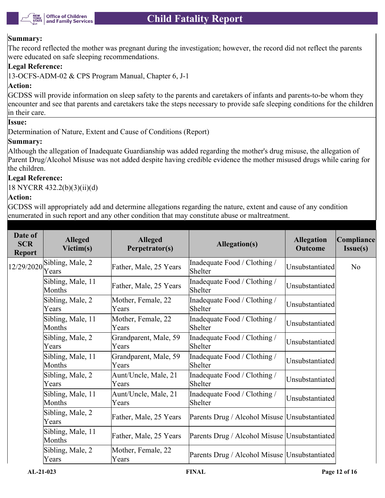

#### **Summary:**

The record reflected the mother was pregnant during the investigation; however, the record did not reflect the parents were educated on safe sleeping recommendations.

#### **Legal Reference:**

13-OCFS-ADM-02 & CPS Program Manual, Chapter 6, J-1

#### **Action:**

GCDSS will provide information on sleep safety to the parents and caretakers of infants and parents-to-be whom they encounter and see that parents and caretakers take the steps necessary to provide safe sleeping conditions for the children in their care.

#### **Issue:**

Determination of Nature, Extent and Cause of Conditions (Report)

#### **Summary:**

Although the allegation of Inadequate Guardianship was added regarding the mother's drug misuse, the allegation of Parent Drug/Alcohol Misuse was not added despite having credible evidence the mother misused drugs while caring for the children.

#### **Legal Reference:**

18 NYCRR 432.2(b)(3)(ii)(d)

#### **Action:**

GCDSS will appropriately add and determine allegations regarding the nature, extent and cause of any condition enumerated in such report and any other condition that may constitute abuse or maltreatment.

| Date of<br><b>SCR</b><br><b>Report</b> | <b>Alleged</b><br>Victim(s) | <b>Alleged</b><br>Perpetrator(s) | Allegation(s)                                   | <b>Allegation</b><br><b>Outcome</b> | Compliance<br>Issue(s) |
|----------------------------------------|-----------------------------|----------------------------------|-------------------------------------------------|-------------------------------------|------------------------|
| 12/29/2020                             | Sibling, Male, 2<br>Years   | Father, Male, 25 Years           | Inadequate Food / Clothing /<br>Shelter         | Unsubstantiated                     | N <sub>o</sub>         |
|                                        | Sibling, Male, 11<br>Months | Father, Male, 25 Years           | Inadequate Food / Clothing /<br>Shelter         | Unsubstantiated                     |                        |
|                                        | Sibling, Male, 2<br>Years   | Mother, Female, 22<br>Years      | Inadequate Food / Clothing /<br>Shelter         | Unsubstantiated                     |                        |
|                                        | Sibling, Male, 11<br>Months | Mother, Female, 22<br>Years      | Inadequate Food / Clothing /<br>Shelter         | Unsubstantiated                     |                        |
|                                        | Sibling, Male, 2<br>Years   | Grandparent, Male, 59<br>Years   | Inadequate Food / Clothing /<br>Shelter         | Unsubstantiated                     |                        |
|                                        | Sibling, Male, 11<br>Months | Grandparent, Male, 59<br>Years   | Inadequate Food / Clothing /<br>Shelter         | Unsubstantiated                     |                        |
|                                        | Sibling, Male, 2<br>Years   | Aunt/Uncle, Male, 21<br>Years    | Inadequate Food / Clothing /<br>Shelter         | Unsubstantiated                     |                        |
|                                        | Sibling, Male, 11<br>Months | Aunt/Uncle, Male, 21<br>Years    | Inadequate Food / Clothing /<br>Shelter         | Unsubstantiated                     |                        |
|                                        | Sibling, Male, 2<br>Years   | Father, Male, 25 Years           | Parents Drug / Alcohol Misuse   Unsubstantiated |                                     |                        |
|                                        | Sibling, Male, 11<br>Months | Father, Male, 25 Years           | Parents Drug / Alcohol Misuse   Unsubstantiated |                                     |                        |
|                                        | Sibling, Male, 2<br>Years   | Mother, Female, 22<br>Years      | Parents Drug / Alcohol Misuse   Unsubstantiated |                                     |                        |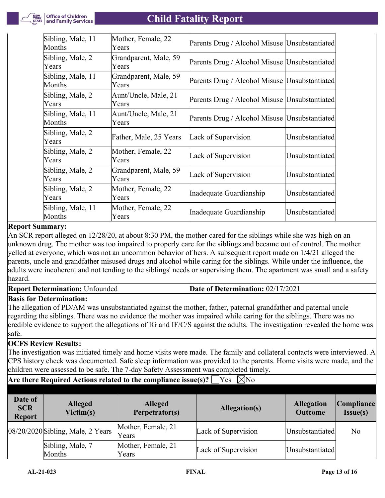

| Sibling, Male, 11<br>Months | Mother, Female, 22<br>Years    | Parents Drug / Alcohol Misuse   Unsubstantiated |                 |
|-----------------------------|--------------------------------|-------------------------------------------------|-----------------|
| Sibling, Male, 2<br>Years   | Grandparent, Male, 59<br>Years | Parents Drug / Alcohol Misuse   Unsubstantiated |                 |
| Sibling, Male, 11<br>Months | Grandparent, Male, 59<br>Years | Parents Drug / Alcohol Misuse   Unsubstantiated |                 |
| Sibling, Male, 2<br>Years   | Aunt/Uncle, Male, 21<br>Years  | Parents Drug / Alcohol Misuse   Unsubstantiated |                 |
| Sibling, Male, 11<br>Months | Aunt/Uncle, Male, 21<br>Years  | Parents Drug / Alcohol Misuse   Unsubstantiated |                 |
| Sibling, Male, 2<br>Years   | Father, Male, 25 Years         | Lack of Supervision                             | Unsubstantiated |
| Sibling, Male, 2<br>Years   | Mother, Female, 22<br>Years    | Lack of Supervision                             | Unsubstantiated |
| Sibling, Male, 2<br>Years   | Grandparent, Male, 59<br>Years | Lack of Supervision                             | Unsubstantiated |
| Sibling, Male, 2<br>Years   | Mother, Female, 22<br>Years    | Inadequate Guardianship                         | Unsubstantiated |
| Sibling, Male, 11<br>Months | Mother, Female, 22<br>Years    | Inadequate Guardianship                         | Unsubstantiated |

## **Report Summary:**

An SCR report alleged on 12/28/20, at about 8:30 PM, the mother cared for the siblings while she was high on an unknown drug. The mother was too impaired to properly care for the siblings and became out of control. The mother yelled at everyone, which was not an uncommon behavior of hers. A subsequent report made on 1/4/21 alleged the parents, uncle and grandfather misused drugs and alcohol while caring for the siblings. While under the influence, the adults were incoherent and not tending to the siblings' needs or supervising them. The apartment was small and a safety hazard.

**Report Determination:** Unfounded **Date of Determination:** 02/17/2021

## **Basis for Determination:**

The allegation of PD/AM was unsubstantiated against the mother, father, paternal grandfather and paternal uncle regarding the siblings. There was no evidence the mother was impaired while caring for the siblings. There was no credible evidence to support the allegations of IG and IF/C/S against the adults. The investigation revealed the home was safe.

## **OCFS Review Results:**

The investigation was initiated timely and home visits were made. The family and collateral contacts were interviewed. A CPS history check was documented. Safe sleep information was provided to the parents. Home visits were made, and the children were assessed to be safe. The 7-day Safety Assessment was completed timely.

## **Are there Required Actions related to the compliance issue(s)?**  $\Box$  Yes  $\Box$  No

| Date of<br><b>SCR</b><br><b>Report</b> | <b>Alleged</b><br>Victim(s)       | <b>Alleged</b><br>Perpetrator(s) | Allegation(s)       | <b>Allegation</b><br><b>Outcome</b> | <b>Compliance</b><br>$Issue(s)$ |
|----------------------------------------|-----------------------------------|----------------------------------|---------------------|-------------------------------------|---------------------------------|
|                                        | 08/20/2020 Sibling, Male, 2 Years | Mother, Female, 21<br>Years      | Lack of Supervision | Unsubstantiated                     | N <sub>o</sub>                  |
|                                        | Sibling, Male, 7<br>Months        | Mother, Female, 21<br>Years      | Lack of Supervision | Unsubstantiated                     |                                 |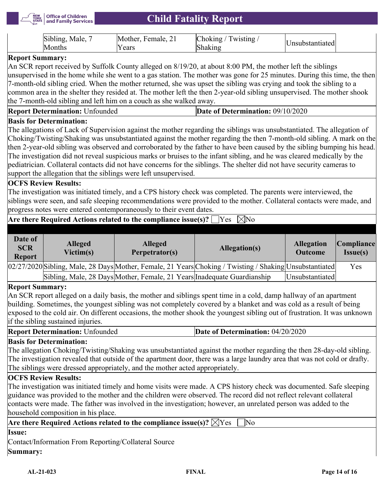

|  |  | Sibling, Male,<br>Months) | Mother, Female, 21<br><sup>v</sup> ears | Choking / Twisting $\overline{a}$<br>Shaking | Unsubstantiated |
|--|--|---------------------------|-----------------------------------------|----------------------------------------------|-----------------|
|--|--|---------------------------|-----------------------------------------|----------------------------------------------|-----------------|

## **Report Summary:**

An SCR report received by Suffolk County alleged on 8/19/20, at about 8:00 PM, the mother left the siblings unsupervised in the home while she went to a gas station. The mother was gone for 25 minutes. During this time, the then 7-month-old sibling cried. When the mother returned, she was upset the sibling was crying and took the sibling to a common area in the shelter they resided at. The mother left the then 2-year-old sibling unsupervised. The mother shook the 7-month-old sibling and left him on a couch as she walked away.

| <b>Report Determination: Unfounded</b><br><b>Determination:</b> $09/10/2020$<br>-01 |  |
|-------------------------------------------------------------------------------------|--|
|-------------------------------------------------------------------------------------|--|

#### **Basis for Determination:**

The allegations of Lack of Supervision against the mother regarding the siblings was unsubstantiated. The allegation of Choking/Twisting/Shaking was unsubstantiated against the mother regarding the then 7-month-old sibling. A mark on the then 2-year-old sibling was observed and corroborated by the father to have been caused by the sibling bumping his head. The investigation did not reveal suspicious marks or bruises to the infant sibling, and he was cleared medically by the pediatrician. Collateral contacts did not have concerns for the siblings. The shelter did not have security cameras to support the allegation that the siblings were left unsupervised.

## **OCFS Review Results:**

The investigation was initiated timely, and a CPS history check was completed. The parents were interviewed, the siblings were seen, and safe sleeping recommendations were provided to the mother. Collateral contacts were made, and progress notes were entered contemporaneously to their event dates.

## **Are there Required Actions related to the compliance issue(s)?**  $\bigsqcup$ **Yes**  $\,\,\boxtimes$ **No**

| Date of<br><b>SCR</b><br><b>Report</b> | <b>Alleged</b><br>Victim(s) | <b>Alleged</b><br>Perpetrator(s)                                        | Allegation(s)                                                                                           | <b>Allegation</b><br><b>Outcome</b> | Compliance <br>Issue(s) |
|----------------------------------------|-----------------------------|-------------------------------------------------------------------------|---------------------------------------------------------------------------------------------------------|-------------------------------------|-------------------------|
|                                        |                             |                                                                         | 02/27/2020 Sibling, Male, 28 Days Mother, Female, 21 Years Choking / Twisting / Shaking Unsubstantiated |                                     | Yes                     |
|                                        |                             | Sibling, Male, 28 Days Mother, Female, 21 Years Inadequate Guardianship |                                                                                                         | Unsubstantiated                     |                         |

#### **Report Summary:**

An SCR report alleged on a daily basis, the mother and siblings spent time in a cold, damp hallway of an apartment building. Sometimes, the youngest sibling was not completely covered by a blanket and was cold as a result of being exposed to the cold air. On different occasions, the mother shook the youngest sibling out of frustration. It was unknown if the sibling sustained injuries.

| <b>Report Determination: Unfounded</b> | Date of Determination: 04/20/2020 |
|----------------------------------------|-----------------------------------|
|----------------------------------------|-----------------------------------|

## **Basis for Determination:**

The allegation Choking/Twisting/Shaking was unsubstantiated against the mother regarding the then 28-day-old sibling. The investigation revealed that outside of the apartment door, there was a large laundry area that was not cold or drafty. The siblings were dressed appropriately, and the mother acted appropriately.

## **OCFS Review Results:**

The investigation was initiated timely and home visits were made. A CPS history check was documented. Safe sleeping guidance was provided to the mother and the children were observed. The record did not reflect relevant collateral contacts were made. The father was involved in the investigation; however, an unrelated person was added to the household composition in his place.

| Are there Required Actions related to the compliance issue(s)? $\boxtimes$ Yes $\Box$ No |  |  |  |
|------------------------------------------------------------------------------------------|--|--|--|
| <b>Issue:</b>                                                                            |  |  |  |
| Contact/Information From Reporting/Collateral Source                                     |  |  |  |
| Summary:                                                                                 |  |  |  |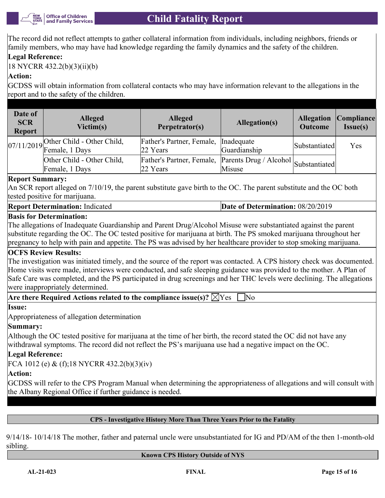

The record did not reflect attempts to gather collateral information from individuals, including neighbors, friends or family members, who may have had knowledge regarding the family dynamics and the safety of the children.

# **Legal Reference:**

18 NYCRR 432.2(b)(3)(ii)(b)

# **Action:**

GCDSS will obtain information from collateral contacts who may have information relevant to the allegations in the report and to the safety of the children.

| Date of<br><b>SCR</b><br><b>Report</b> | <b>Alleged</b><br>Victim(s)                               | <b>Alleged</b><br>Perpetrator(s)                                           | Allegation(s) | <b>Allegation</b><br><b>Outcome</b> | Compliance <br>Issue(s) |
|----------------------------------------|-----------------------------------------------------------|----------------------------------------------------------------------------|---------------|-------------------------------------|-------------------------|
|                                        | $07/11/2019$ Other Child - Other Child,<br>Female, 1 Days | Father's Partner, Female, Inadequate<br>22 Years                           | Guardianship  | Substantiated                       | Yes                     |
|                                        | Other Child - Other Child,<br>Female, 1 Days              | Father's Partner, Female, Parents Drug / Alcohol Substantiated<br>22 Years | Misuse        |                                     |                         |

## **Report Summary:**

An SCR report alleged on 7/10/19, the parent substitute gave birth to the OC. The parent substitute and the OC both tested positive for marijuana.

#### **Report Determination:** Indicated **Determination: 08/20/2019**

## **Basis for Determination:**

The allegations of Inadequate Guardianship and Parent Drug/Alcohol Misuse were substantiated against the parent substitute regarding the OC. The OC tested positive for marijuana at birth. The PS smoked marijuana throughout her pregnancy to help with pain and appetite. The PS was advised by her healthcare provider to stop smoking marijuana.

## **OCFS Review Results:**

The investigation was initiated timely, and the source of the report was contacted. A CPS history check was documented. Home visits were made, interviews were conducted, and safe sleeping guidance was provided to the mother. A Plan of Safe Care was completed, and the PS participated in drug screenings and her THC levels were declining. The allegations were inappropriately determined.

**Are there Required Actions related to the compliance issue(s)?**  $\boxtimes$  Yes  $\Box$  No

#### **Issue:**

Appropriateness of allegation determination

## **Summary:**

Although the OC tested positive for marijuana at the time of her birth, the record stated the OC did not have any withdrawal symptoms. The record did not reflect the PS's marijuana use had a negative impact on the OC.

## **Legal Reference:**

FCA 1012 (e) & (f);18 NYCRR 432.2(b)(3)(iv)

# **Action:**

GCDSS will refer to the CPS Program Manual when determining the appropriateness of allegations and will consult with the Albany Regional Office if further guidance is needed.

## **CPS - Investigative History More Than Three Years Prior to the Fatality**

9/14/18- 10/14/18 The mother, father and paternal uncle were unsubstantiated for IG and PD/AM of the then 1-month-old sibling.

#### **Known CPS History Outside of NYS**